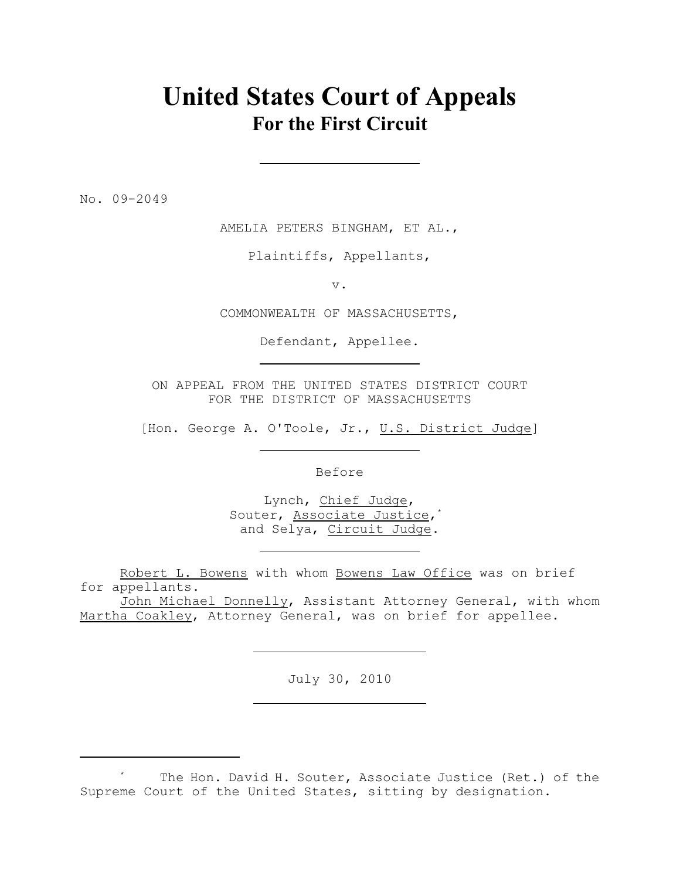## **United States Court of Appeals For the First Circuit**

No. 09-2049

AMELIA PETERS BINGHAM, ET AL.,

Plaintiffs, Appellants,

v.

COMMONWEALTH OF MASSACHUSETTS,

Defendant, Appellee.

ON APPEAL FROM THE UNITED STATES DISTRICT COURT FOR THE DISTRICT OF MASSACHUSETTS

[Hon. George A. O'Toole, Jr., U.S. District Judge]

Before

Lynch, Chief Judge, Souter, Associate Justice,\* and Selya, Circuit Judge.

Robert L. Bowens with whom Bowens Law Office was on brief for appellants.

John Michael Donnelly, Assistant Attorney General, with whom Martha Coakley, Attorney General, was on brief for appellee.

July 30, 2010

The Hon. David H. Souter, Associate Justice (Ret.) of the \* Supreme Court of the United States, sitting by designation.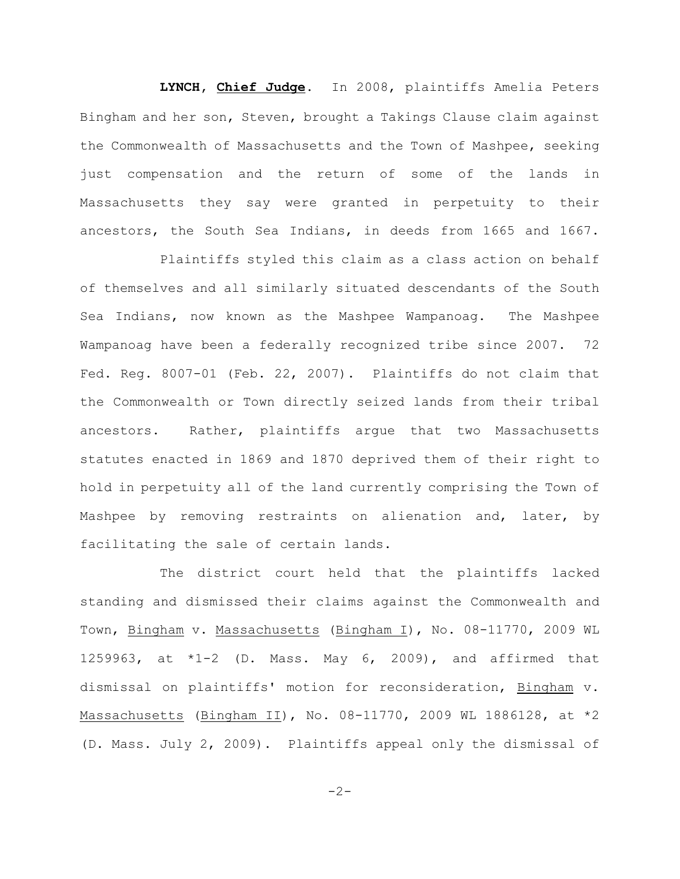**LYNCH, Chief Judge**. In 2008, plaintiffs Amelia Peters Bingham and her son, Steven, brought a Takings Clause claim against the Commonwealth of Massachusetts and the Town of Mashpee, seeking just compensation and the return of some of the lands in Massachusetts they say were granted in perpetuity to their ancestors, the South Sea Indians, in deeds from 1665 and 1667.

Plaintiffs styled this claim as a class action on behalf of themselves and all similarly situated descendants of the South Sea Indians, now known as the Mashpee Wampanoag. The Mashpee Wampanoag have been a federally recognized tribe since 2007. 72 Fed. Reg. 8007-01 (Feb. 22, 2007). Plaintiffs do not claim that the Commonwealth or Town directly seized lands from their tribal ancestors. Rather, plaintiffs argue that two Massachusetts statutes enacted in 1869 and 1870 deprived them of their right to hold in perpetuity all of the land currently comprising the Town of Mashpee by removing restraints on alienation and, later, by facilitating the sale of certain lands.

The district court held that the plaintiffs lacked standing and dismissed their claims against the Commonwealth and Town, Bingham v. Massachusetts (Bingham I), No. 08-11770, 2009 WL 1259963, at \*1-2 (D. Mass. May 6, 2009), and affirmed that dismissal on plaintiffs' motion for reconsideration, Bingham v. Massachusetts (Bingham II), No. 08-11770, 2009 WL 1886128, at \*2 (D. Mass. July 2, 2009). Plaintiffs appeal only the dismissal of

 $-2-$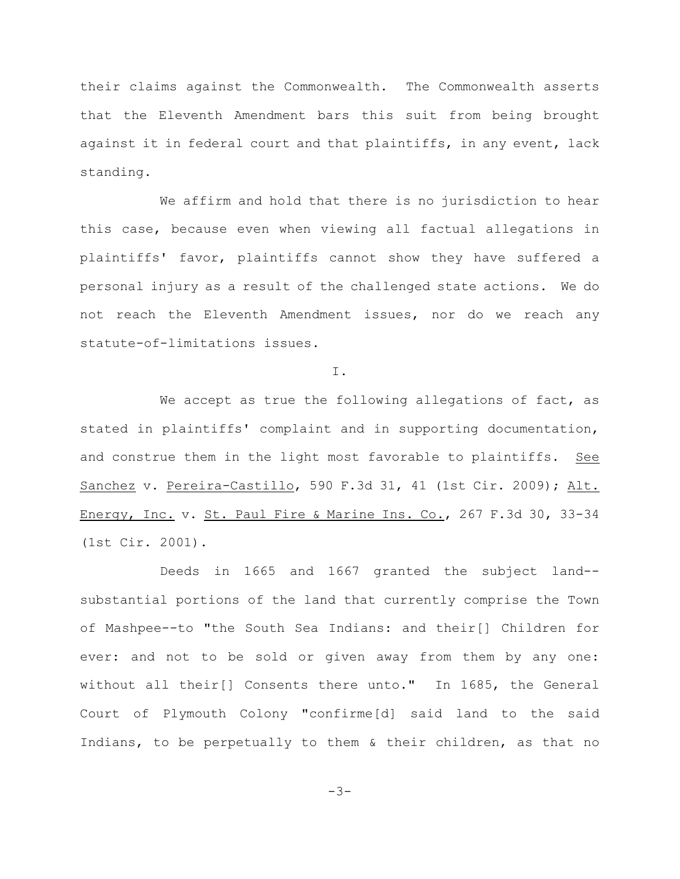their claims against the Commonwealth. The Commonwealth asserts that the Eleventh Amendment bars this suit from being brought against it in federal court and that plaintiffs, in any event, lack standing.

We affirm and hold that there is no jurisdiction to hear this case, because even when viewing all factual allegations in plaintiffs' favor, plaintiffs cannot show they have suffered a personal injury as a result of the challenged state actions. We do not reach the Eleventh Amendment issues, nor do we reach any statute-of-limitations issues.

I.

We accept as true the following allegations of fact, as stated in plaintiffs' complaint and in supporting documentation, and construe them in the light most favorable to plaintiffs. See Sanchez v. Pereira-Castillo, 590 F.3d 31, 41 (1st Cir. 2009); Alt. Energy, Inc. v. St. Paul Fire & Marine Ins. Co., 267 F.3d 30, 33-34 (1st Cir. 2001).

Deeds in 1665 and 1667 granted the subject land- substantial portions of the land that currently comprise the Town of Mashpee--to "the South Sea Indians: and their[] Children for ever: and not to be sold or given away from them by any one: without all their[] Consents there unto." In 1685, the General Court of Plymouth Colony "confirme[d] said land to the said Indians, to be perpetually to them & their children, as that no

-3-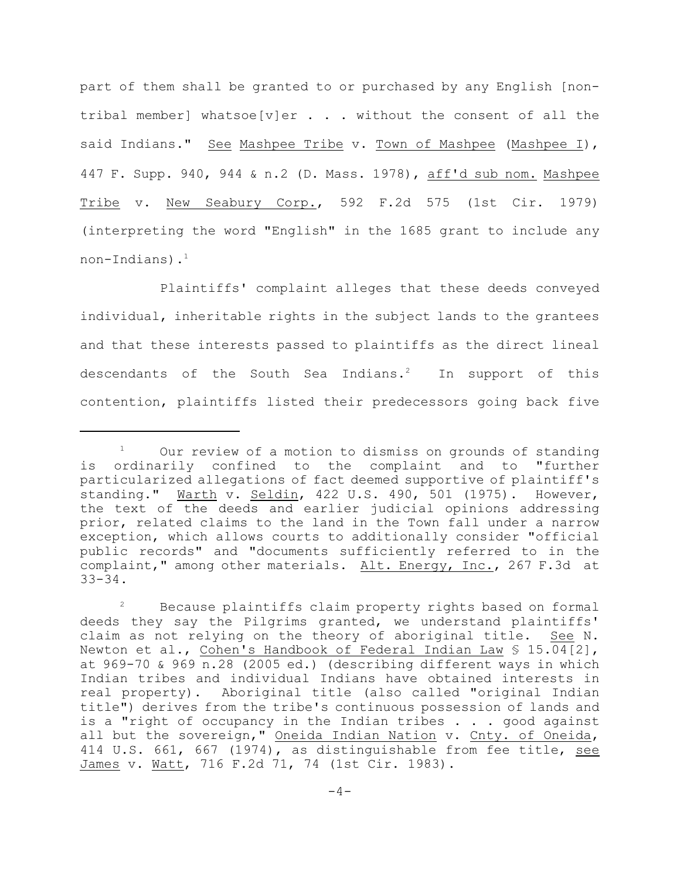part of them shall be granted to or purchased by any English [nontribal member] whatsoe[v]er . . . without the consent of all the said Indians." See Mashpee Tribe v. Town of Mashpee (Mashpee I), 447 F. Supp. 940, 944 & n.2 (D. Mass. 1978), aff'd sub nom. Mashpee Tribe v. New Seabury Corp., 592 F.2d 575 (1st Cir. 1979) (interpreting the word "English" in the 1685 grant to include any non-Indians). $<sup>1</sup>$ </sup>

Plaintiffs' complaint alleges that these deeds conveyed individual, inheritable rights in the subject lands to the grantees and that these interests passed to plaintiffs as the direct lineal descendants of the South Sea Indians.<sup>2</sup> In support of this contention, plaintiffs listed their predecessors going back five

Our review of a motion to dismiss on grounds of standing <sup>1</sup> is ordinarily confined to the complaint and to "further particularized allegations of fact deemed supportive of plaintiff's standing." Warth v. Seldin, 422 U.S. 490, 501 (1975). However, the text of the deeds and earlier judicial opinions addressing prior, related claims to the land in the Town fall under a narrow exception, which allows courts to additionally consider "official public records" and "documents sufficiently referred to in the complaint," among other materials. Alt. Energy, Inc., 267 F.3d at 33-34.

Because plaintiffs claim property rights based on formal <sup>2</sup> deeds they say the Pilgrims granted, we understand plaintiffs' claim as not relying on the theory of aboriginal title. See N. Newton et al., Cohen's Handbook of Federal Indian Law § 15.04[2], at 969-70 & 969 n.28 (2005 ed.) (describing different ways in which Indian tribes and individual Indians have obtained interests in real property). Aboriginal title (also called "original Indian title") derives from the tribe's continuous possession of lands and is a "right of occupancy in the Indian tribes . . . good against all but the sovereign," Oneida Indian Nation v. Cnty. of Oneida, 414 U.S. 661, 667 (1974), as distinguishable from fee title, see James v. Watt, 716 F.2d 71, 74 (1st Cir. 1983).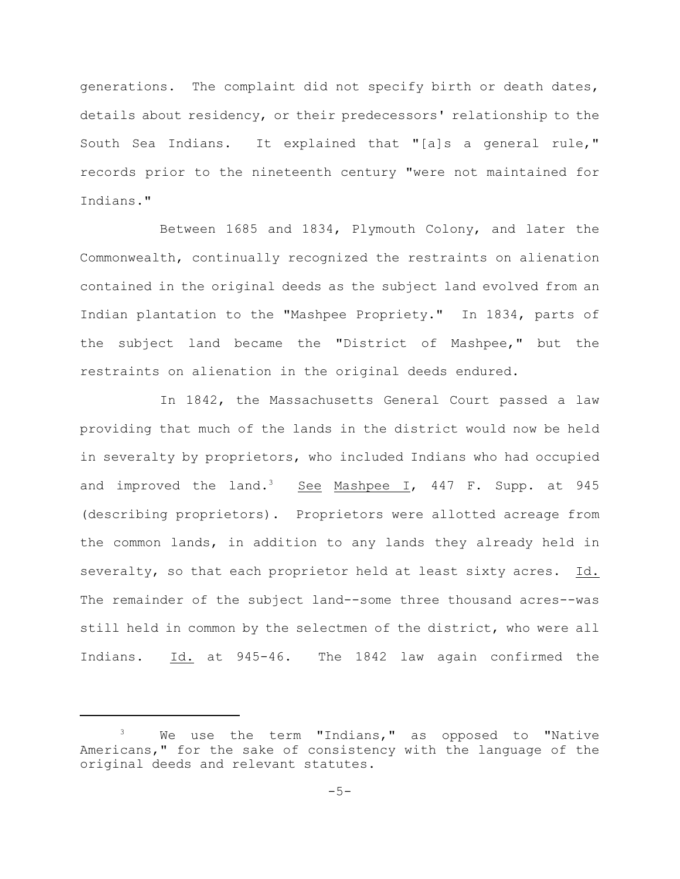generations. The complaint did not specify birth or death dates, details about residency, or their predecessors' relationship to the South Sea Indians. It explained that "[a]s a general rule," records prior to the nineteenth century "were not maintained for Indians."

Between 1685 and 1834, Plymouth Colony, and later the Commonwealth, continually recognized the restraints on alienation contained in the original deeds as the subject land evolved from an Indian plantation to the "Mashpee Propriety." In 1834, parts of the subject land became the "District of Mashpee," but the restraints on alienation in the original deeds endured.

In 1842, the Massachusetts General Court passed a law providing that much of the lands in the district would now be held in severalty by proprietors, who included Indians who had occupied and improved the land.<sup>3</sup> See Mashpee I, 447 F. Supp. at 945 (describing proprietors). Proprietors were allotted acreage from the common lands, in addition to any lands they already held in severalty, so that each proprietor held at least sixty acres. Id. The remainder of the subject land--some three thousand acres--was still held in common by the selectmen of the district, who were all Indians. Id. at 945-46. The 1842 law again confirmed the

 $3$  We use the term "Indians," as opposed to "Native Americans," for the sake of consistency with the language of the original deeds and relevant statutes.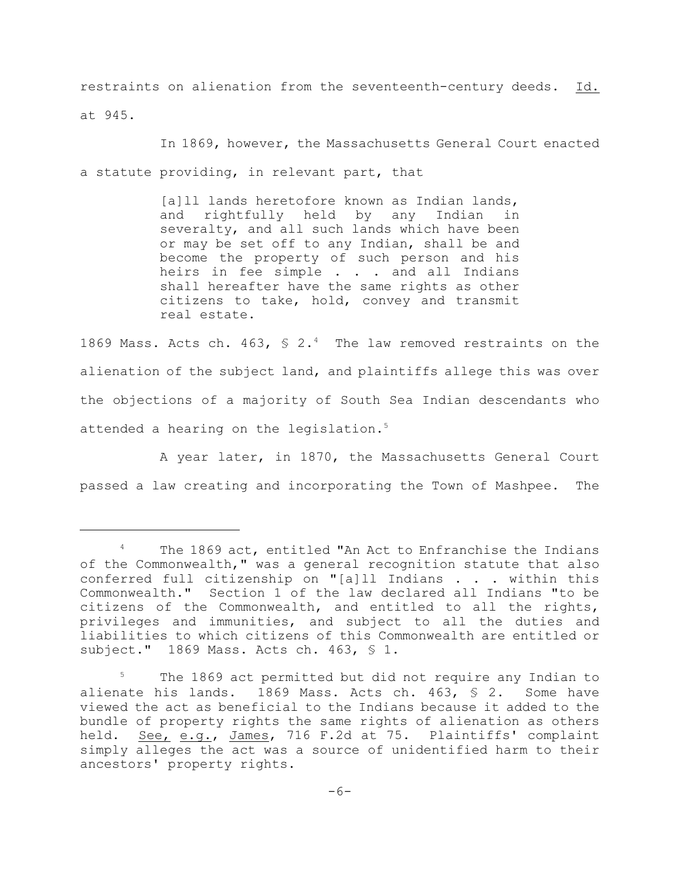restraints on alienation from the seventeenth-century deeds. Id. at 945.

In 1869, however, the Massachusetts General Court enacted a statute providing, in relevant part, that

> [a]ll lands heretofore known as Indian lands, and rightfully held by any Indian in severalty, and all such lands which have been or may be set off to any Indian, shall be and become the property of such person and his heirs in fee simple . . . and all Indians shall hereafter have the same rights as other citizens to take, hold, convey and transmit real estate.

1869 Mass. Acts ch. 463,  $\frac{1}{2}$   $\frac{2.4}{4}$  The law removed restraints on the alienation of the subject land, and plaintiffs allege this was over the objections of a majority of South Sea Indian descendants who attended a hearing on the legislation.<sup>5</sup>

A year later, in 1870, the Massachusetts General Court passed a law creating and incorporating the Town of Mashpee. The

 $4$  The 1869 act, entitled "An Act to Enfranchise the Indians of the Commonwealth," was a general recognition statute that also conferred full citizenship on "[a]ll Indians . . . within this Commonwealth." Section 1 of the law declared all Indians "to be citizens of the Commonwealth, and entitled to all the rights, privileges and immunities, and subject to all the duties and liabilities to which citizens of this Commonwealth are entitled or subject." 1869 Mass. Acts ch. 463, § 1.

The 1869 act permitted but did not require any Indian to alienate his lands. 1869 Mass. Acts ch. 463, § 2. Some have viewed the act as beneficial to the Indians because it added to the bundle of property rights the same rights of alienation as others held. See, e.g., James, 716 F.2d at 75. Plaintiffs' complaint simply alleges the act was a source of unidentified harm to their ancestors' property rights.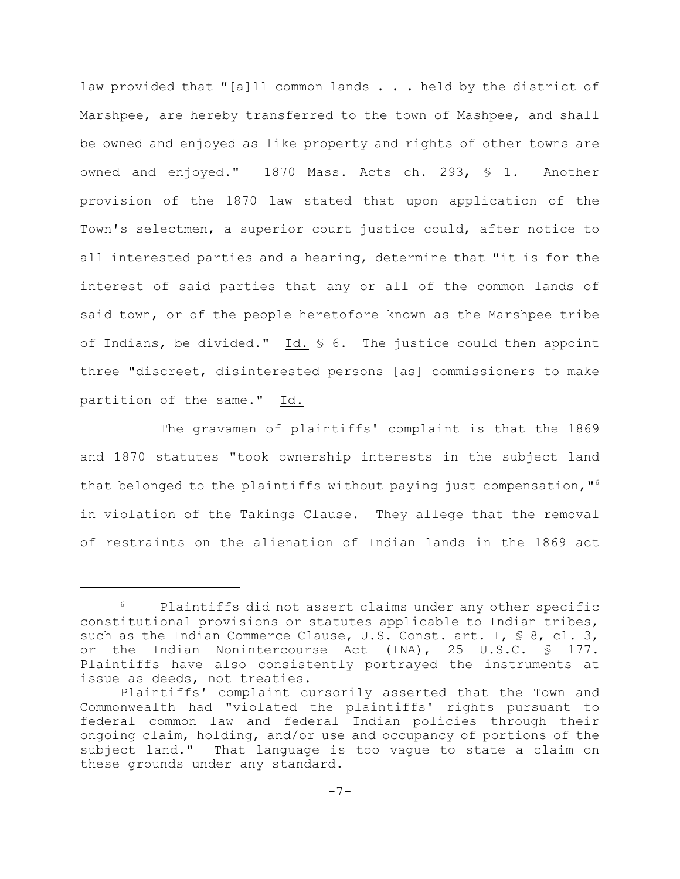law provided that "[a]ll common lands . . . held by the district of Marshpee, are hereby transferred to the town of Mashpee, and shall be owned and enjoyed as like property and rights of other towns are owned and enjoyed." 1870 Mass. Acts ch. 293, § 1. Another provision of the 1870 law stated that upon application of the Town's selectmen, a superior court justice could, after notice to all interested parties and a hearing, determine that "it is for the interest of said parties that any or all of the common lands of said town, or of the people heretofore known as the Marshpee tribe of Indians, be divided." Id. § 6. The justice could then appoint three "discreet, disinterested persons [as] commissioners to make partition of the same." Id.

The gravamen of plaintiffs' complaint is that the 1869 and 1870 statutes "took ownership interests in the subject land that belonged to the plaintiffs without paying just compensation,"<sup>6</sup> in violation of the Takings Clause. They allege that the removal of restraints on the alienation of Indian lands in the 1869 act

 $6$  Plaintiffs did not assert claims under any other specific constitutional provisions or statutes applicable to Indian tribes, such as the Indian Commerce Clause, U.S. Const. art. I,  $\frac{1}{5}$  8, cl. 3, or the Indian Nonintercourse Act (INA), 25 U.S.C. § 177. Plaintiffs have also consistently portrayed the instruments at issue as deeds, not treaties.

Plaintiffs' complaint cursorily asserted that the Town and Commonwealth had "violated the plaintiffs' rights pursuant to federal common law and federal Indian policies through their ongoing claim, holding, and/or use and occupancy of portions of the subject land." That language is too vague to state a claim on these grounds under any standard.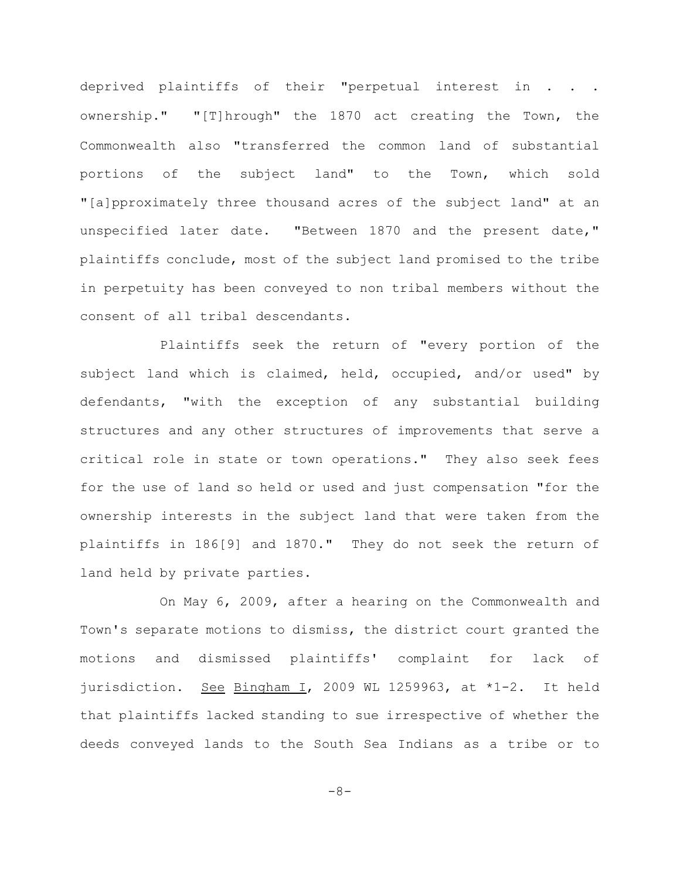deprived plaintiffs of their "perpetual interest in . . . ownership." "[T]hrough" the 1870 act creating the Town, the Commonwealth also "transferred the common land of substantial portions of the subject land" to the Town, which sold "[a]pproximately three thousand acres of the subject land" at an unspecified later date. "Between 1870 and the present date," plaintiffs conclude, most of the subject land promised to the tribe in perpetuity has been conveyed to non tribal members without the consent of all tribal descendants.

Plaintiffs seek the return of "every portion of the subject land which is claimed, held, occupied, and/or used" by defendants, "with the exception of any substantial building structures and any other structures of improvements that serve a critical role in state or town operations." They also seek fees for the use of land so held or used and just compensation "for the ownership interests in the subject land that were taken from the plaintiffs in 186[9] and 1870." They do not seek the return of land held by private parties.

On May 6, 2009, after a hearing on the Commonwealth and Town's separate motions to dismiss, the district court granted the motions and dismissed plaintiffs' complaint for lack of jurisdiction. See Bingham I, 2009 WL 1259963, at \*1-2. It held that plaintiffs lacked standing to sue irrespective of whether the deeds conveyed lands to the South Sea Indians as a tribe or to

-8-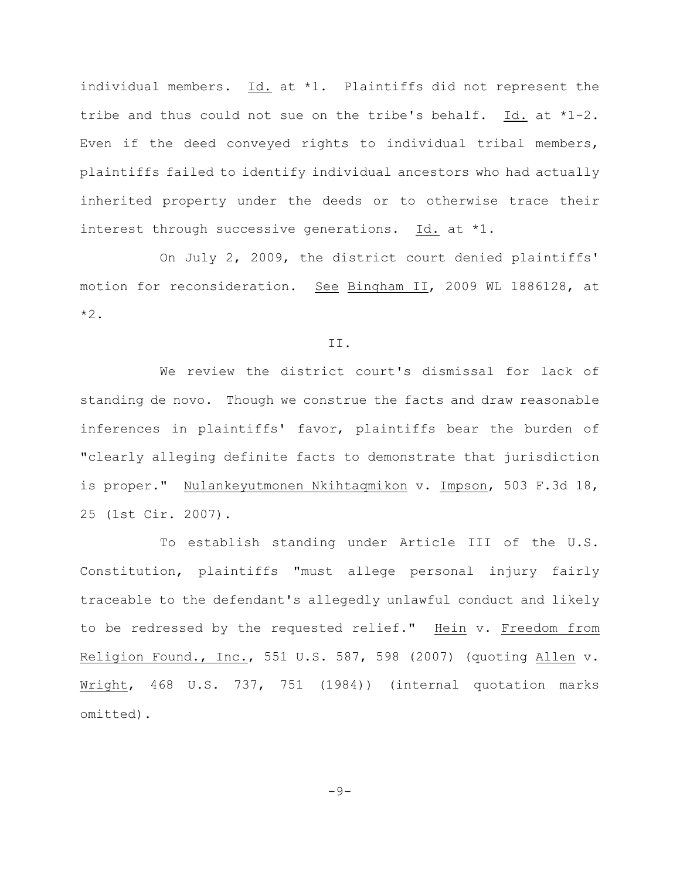individual members. Id. at \*1. Plaintiffs did not represent the tribe and thus could not sue on the tribe's behalf. Id. at \*1-2. Even if the deed conveyed rights to individual tribal members, plaintiffs failed to identify individual ancestors who had actually inherited property under the deeds or to otherwise trace their interest through successive generations. Id. at \*1.

On July 2, 2009, the district court denied plaintiffs' motion for reconsideration. See Bingham II, 2009 WL 1886128, at \*2.

II.

We review the district court's dismissal for lack of standing de novo. Though we construe the facts and draw reasonable inferences in plaintiffs' favor, plaintiffs bear the burden of "clearly alleging definite facts to demonstrate that jurisdiction is proper." Nulankeyutmonen Nkihtaqmikon v. Impson, 503 F.3d 18, 25 (1st Cir. 2007).

To establish standing under Article III of the U.S. Constitution, plaintiffs "must allege personal injury fairly traceable to the defendant's allegedly unlawful conduct and likely to be redressed by the requested relief." Hein v. Freedom from Religion Found., Inc., 551 U.S. 587, 598 (2007) (quoting Allen v. Wright, 468 U.S. 737, 751 (1984)) (internal quotation marks omitted).

 $-9-$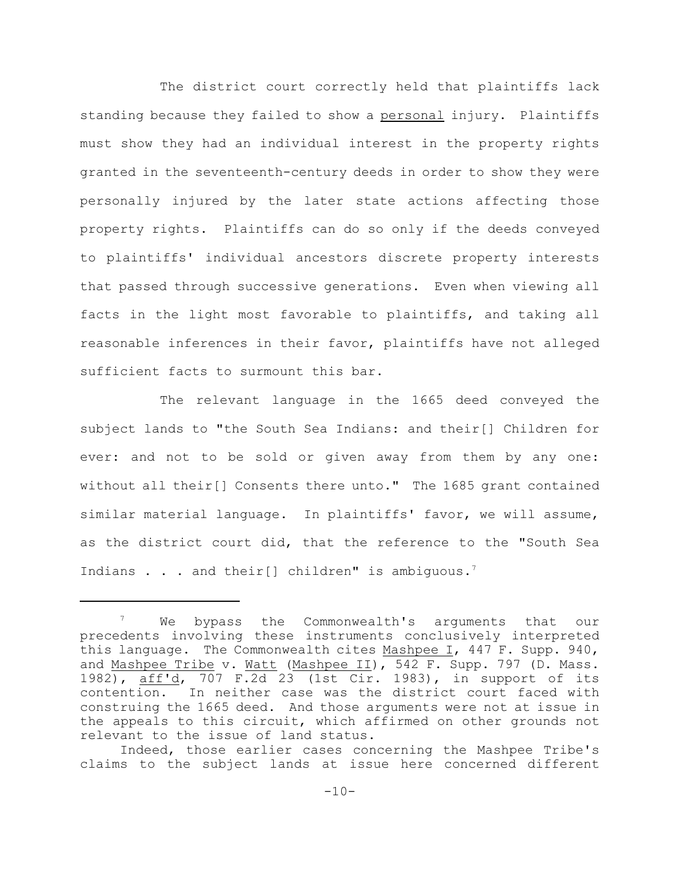The district court correctly held that plaintiffs lack standing because they failed to show a personal injury. Plaintiffs must show they had an individual interest in the property rights granted in the seventeenth-century deeds in order to show they were personally injured by the later state actions affecting those property rights. Plaintiffs can do so only if the deeds conveyed to plaintiffs' individual ancestors discrete property interests that passed through successive generations. Even when viewing all facts in the light most favorable to plaintiffs, and taking all reasonable inferences in their favor, plaintiffs have not alleged sufficient facts to surmount this bar.

The relevant language in the 1665 deed conveyed the subject lands to "the South Sea Indians: and their[] Children for ever: and not to be sold or given away from them by any one: without all their[] Consents there unto." The 1685 grant contained similar material language. In plaintiffs' favor, we will assume, as the district court did, that the reference to the "South Sea Indians . . . and their[] children" is ambiguous.<sup>7</sup>

 $\frac{7}{10}$  We bypass the Commonwealth's arguments that our precedents involving these instruments conclusively interpreted this language. The Commonwealth cites Mashpee I, 447 F. Supp. 940, and Mashpee Tribe v. Watt (Mashpee II), 542 F. Supp. 797 (D. Mass. 1982), aff'd, 707 F.2d 23 (1st Cir. 1983), in support of its contention. In neither case was the district court faced with construing the 1665 deed. And those arguments were not at issue in the appeals to this circuit, which affirmed on other grounds not relevant to the issue of land status.

Indeed, those earlier cases concerning the Mashpee Tribe's claims to the subject lands at issue here concerned different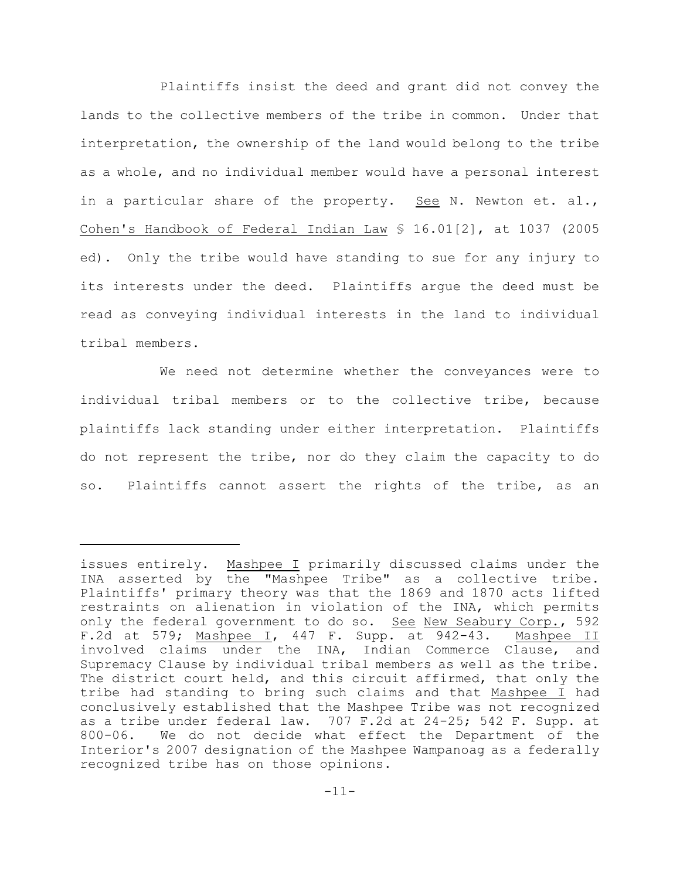Plaintiffs insist the deed and grant did not convey the lands to the collective members of the tribe in common. Under that interpretation, the ownership of the land would belong to the tribe as a whole, and no individual member would have a personal interest in a particular share of the property. See N. Newton et. al., Cohen's Handbook of Federal Indian Law § 16.01[2], at 1037 (2005 ed). Only the tribe would have standing to sue for any injury to its interests under the deed. Plaintiffs argue the deed must be read as conveying individual interests in the land to individual tribal members.

We need not determine whether the conveyances were to individual tribal members or to the collective tribe, because plaintiffs lack standing under either interpretation. Plaintiffs do not represent the tribe, nor do they claim the capacity to do so. Plaintiffs cannot assert the rights of the tribe, as an

issues entirely. Mashpee I primarily discussed claims under the INA asserted by the "Mashpee Tribe" as a collective tribe. Plaintiffs' primary theory was that the 1869 and 1870 acts lifted restraints on alienation in violation of the INA, which permits only the federal government to do so. See New Seabury Corp., 592 F.2d at 579; Mashpee I, 447 F. Supp. at 942-43. Mashpee II involved claims under the INA, Indian Commerce Clause, and Supremacy Clause by individual tribal members as well as the tribe. The district court held, and this circuit affirmed, that only the tribe had standing to bring such claims and that Mashpee I had conclusively established that the Mashpee Tribe was not recognized as a tribe under federal law. 707 F.2d at 24-25; 542 F. Supp. at 800-06. We do not decide what effect the Department of the Interior's 2007 designation of the Mashpee Wampanoag as a federally recognized tribe has on those opinions.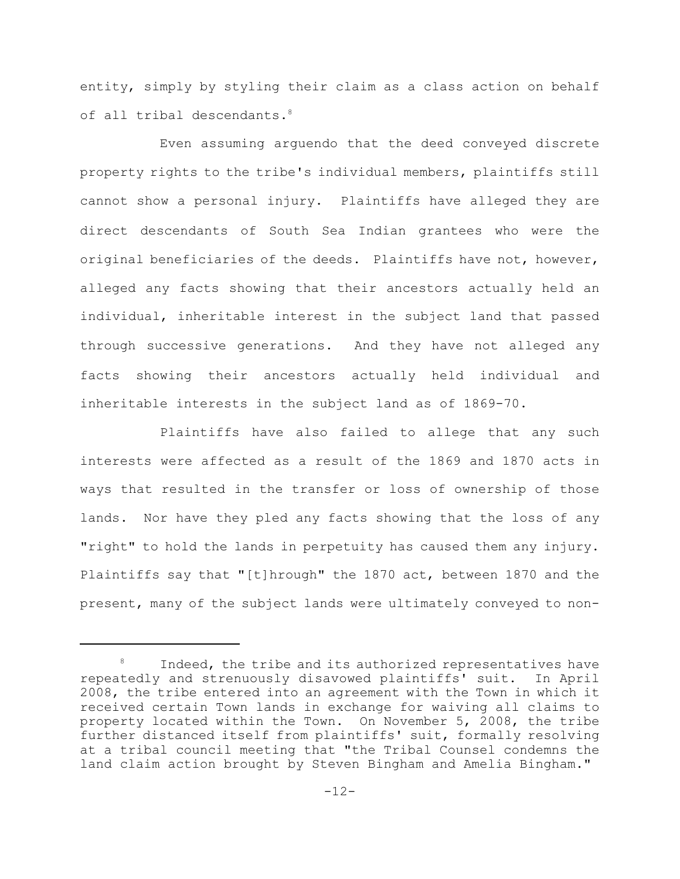entity, simply by styling their claim as a class action on behalf of all tribal descendants.<sup>8</sup>

Even assuming arguendo that the deed conveyed discrete property rights to the tribe's individual members, plaintiffs still cannot show a personal injury**.** Plaintiffs have alleged they are direct descendants of South Sea Indian grantees who were the original beneficiaries of the deeds. Plaintiffs have not, however, alleged any facts showing that their ancestors actually held an individual, inheritable interest in the subject land that passed through successive generations. And they have not alleged any facts showing their ancestors actually held individual and inheritable interests in the subject land as of 1869-70.

Plaintiffs have also failed to allege that any such interests were affected as a result of the 1869 and 1870 acts in ways that resulted in the transfer or loss of ownership of those lands. Nor have they pled any facts showing that the loss of any "right" to hold the lands in perpetuity has caused them any injury. Plaintiffs say that "[t]hrough" the 1870 act, between 1870 and the present, many of the subject lands were ultimately conveyed to non-

Indeed, the tribe and its authorized representatives have repeatedly and strenuously disavowed plaintiffs' suit. In April 2008, the tribe entered into an agreement with the Town in which it received certain Town lands in exchange for waiving all claims to property located within the Town. On November 5, 2008, the tribe further distanced itself from plaintiffs' suit, formally resolving at a tribal council meeting that "the Tribal Counsel condemns the land claim action brought by Steven Bingham and Amelia Bingham."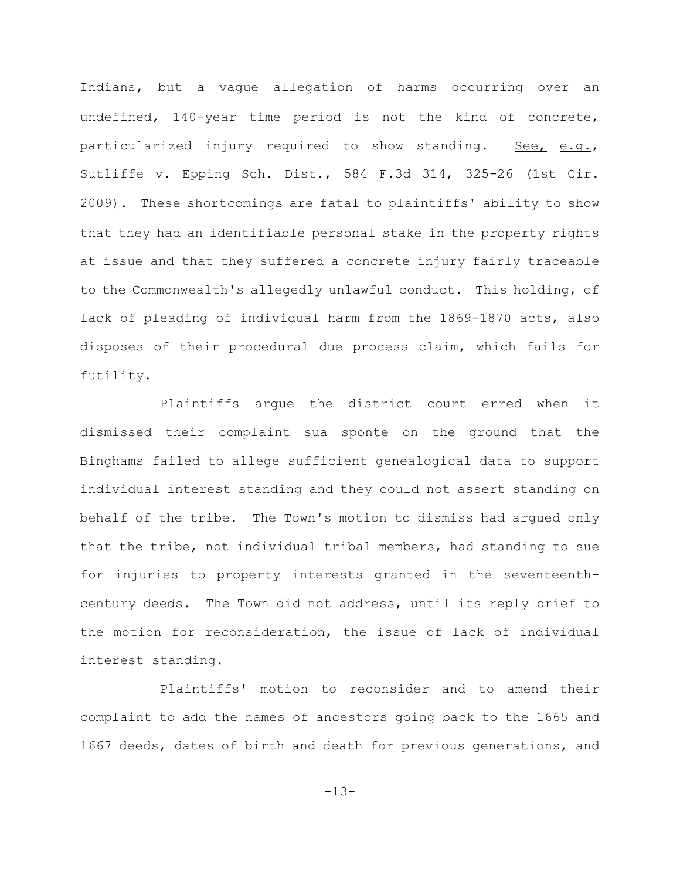Indians, but a vague allegation of harms occurring over an undefined, 140-year time period is not the kind of concrete, particularized injury required to show standing. See, e.g., Sutliffe v. Epping Sch. Dist., 584 F.3d 314, 325-26 (1st Cir. 2009). These shortcomings are fatal to plaintiffs' ability to show that they had an identifiable personal stake in the property rights at issue and that they suffered a concrete injury fairly traceable to the Commonwealth's allegedly unlawful conduct. This holding, of lack of pleading of individual harm from the 1869-1870 acts, also disposes of their procedural due process claim, which fails for futility.

Plaintiffs argue the district court erred when it dismissed their complaint sua sponte on the ground that the Binghams failed to allege sufficient genealogical data to support individual interest standing and they could not assert standing on behalf of the tribe. The Town's motion to dismiss had argued only that the tribe, not individual tribal members, had standing to sue for injuries to property interests granted in the seventeenthcentury deeds. The Town did not address, until its reply brief to the motion for reconsideration, the issue of lack of individual interest standing.

Plaintiffs' motion to reconsider and to amend their complaint to add the names of ancestors going back to the 1665 and 1667 deeds, dates of birth and death for previous generations, and

-13-